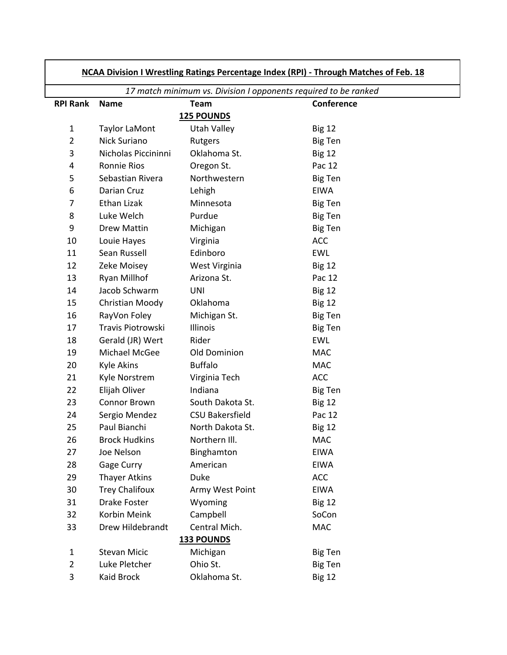| NCAA Division I Wrestling Ratings Percentage Index (RPI) - Through Matches of Feb. 18 |                       |                        |                                                                 |  |
|---------------------------------------------------------------------------------------|-----------------------|------------------------|-----------------------------------------------------------------|--|
|                                                                                       |                       |                        | 17 match minimum vs. Division I opponents required to be ranked |  |
| <b>RPI Rank</b>                                                                       | <b>Name</b>           | <b>Team</b>            | Conference                                                      |  |
|                                                                                       |                       | <b>125 POUNDS</b>      |                                                                 |  |
| $\mathbf{1}$                                                                          | Taylor LaMont         | <b>Utah Valley</b>     | <b>Big 12</b>                                                   |  |
| $\overline{2}$                                                                        | Nick Suriano          | Rutgers                | <b>Big Ten</b>                                                  |  |
| 3                                                                                     | Nicholas Piccininni   | Oklahoma St.           | <b>Big 12</b>                                                   |  |
| 4                                                                                     | <b>Ronnie Rios</b>    | Oregon St.             | Pac 12                                                          |  |
| 5                                                                                     | Sebastian Rivera      | Northwestern           | <b>Big Ten</b>                                                  |  |
| 6                                                                                     | Darian Cruz           | Lehigh                 | <b>EIWA</b>                                                     |  |
| 7                                                                                     | Ethan Lizak           | Minnesota              | <b>Big Ten</b>                                                  |  |
| 8                                                                                     | Luke Welch            | Purdue                 | <b>Big Ten</b>                                                  |  |
| 9                                                                                     | Drew Mattin           | Michigan               | <b>Big Ten</b>                                                  |  |
| 10                                                                                    | Louie Hayes           | Virginia               | <b>ACC</b>                                                      |  |
| 11                                                                                    | Sean Russell          | Edinboro               | <b>EWL</b>                                                      |  |
| 12                                                                                    | Zeke Moisey           | West Virginia          | <b>Big 12</b>                                                   |  |
| 13                                                                                    | Ryan Millhof          | Arizona St.            | Pac 12                                                          |  |
| 14                                                                                    | Jacob Schwarm         | <b>UNI</b>             | <b>Big 12</b>                                                   |  |
| 15                                                                                    | Christian Moody       | Oklahoma               | <b>Big 12</b>                                                   |  |
| 16                                                                                    | RayVon Foley          | Michigan St.           | <b>Big Ten</b>                                                  |  |
| 17                                                                                    | Travis Piotrowski     | Illinois               | <b>Big Ten</b>                                                  |  |
| 18                                                                                    | Gerald (JR) Wert      | Rider                  | <b>EWL</b>                                                      |  |
| 19                                                                                    | Michael McGee         | Old Dominion           | <b>MAC</b>                                                      |  |
| 20                                                                                    | <b>Kyle Akins</b>     | <b>Buffalo</b>         | <b>MAC</b>                                                      |  |
| 21                                                                                    | Kyle Norstrem         | Virginia Tech          | <b>ACC</b>                                                      |  |
| 22                                                                                    | Elijah Oliver         | Indiana                | <b>Big Ten</b>                                                  |  |
| 23                                                                                    | <b>Connor Brown</b>   | South Dakota St.       | <b>Big 12</b>                                                   |  |
| 24                                                                                    | Sergio Mendez         | <b>CSU Bakersfield</b> | Pac 12                                                          |  |
| 25                                                                                    | Paul Bianchi          | North Dakota St.       | <b>Big 12</b>                                                   |  |
| 26                                                                                    | <b>Brock Hudkins</b>  | Northern III.          | <b>MAC</b>                                                      |  |
| 27                                                                                    | Joe Nelson            | Binghamton             | <b>EIWA</b>                                                     |  |
| 28                                                                                    | Gage Curry            | American               | <b>EIWA</b>                                                     |  |
| 29                                                                                    | <b>Thayer Atkins</b>  | Duke                   | <b>ACC</b>                                                      |  |
| 30                                                                                    | <b>Trey Chalifoux</b> | Army West Point        | <b>EIWA</b>                                                     |  |
| 31                                                                                    | <b>Drake Foster</b>   | Wyoming                | <b>Big 12</b>                                                   |  |
| 32                                                                                    | Korbin Meink          | Campbell               | SoCon                                                           |  |
| 33                                                                                    | Drew Hildebrandt      | Central Mich.          | <b>MAC</b>                                                      |  |
|                                                                                       |                       | <b>133 POUNDS</b>      |                                                                 |  |
| 1                                                                                     | <b>Stevan Micic</b>   | Michigan               | <b>Big Ten</b>                                                  |  |
| 2                                                                                     | Luke Pletcher         | Ohio St.               | <b>Big Ten</b>                                                  |  |
| 3                                                                                     | Kaid Brock            | Oklahoma St.           | <b>Big 12</b>                                                   |  |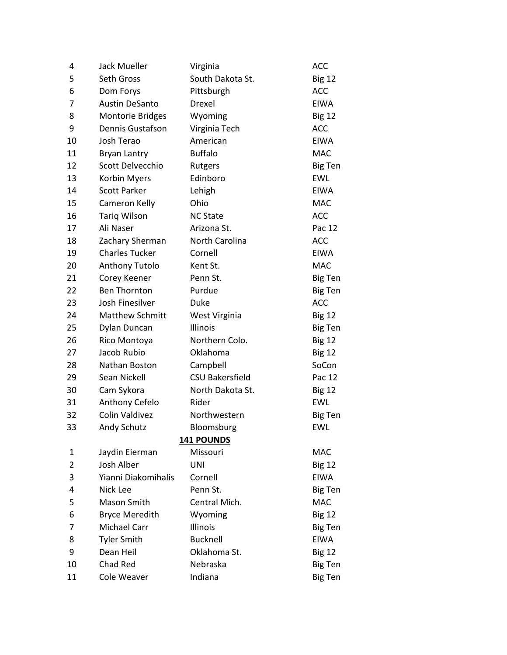| 4  | <b>Jack Mueller</b>     | Virginia               | <b>ACC</b>     |
|----|-------------------------|------------------------|----------------|
| 5  | Seth Gross              | South Dakota St.       | <b>Big 12</b>  |
| 6  | Dom Forys               | Pittsburgh             | <b>ACC</b>     |
| 7  | <b>Austin DeSanto</b>   | Drexel                 | <b>EIWA</b>    |
| 8  | <b>Montorie Bridges</b> | Wyoming                | <b>Big 12</b>  |
| 9  | Dennis Gustafson        | Virginia Tech          | <b>ACC</b>     |
| 10 | Josh Terao              | American               | <b>EIWA</b>    |
| 11 | <b>Bryan Lantry</b>     | <b>Buffalo</b>         | <b>MAC</b>     |
| 12 | Scott Delvecchio        | Rutgers                | <b>Big Ten</b> |
| 13 | Korbin Myers            | Edinboro               | <b>EWL</b>     |
| 14 | <b>Scott Parker</b>     | Lehigh                 | <b>EIWA</b>    |
| 15 | Cameron Kelly           | Ohio                   | <b>MAC</b>     |
| 16 | <b>Tariq Wilson</b>     | <b>NC State</b>        | <b>ACC</b>     |
| 17 | Ali Naser               | Arizona St.            | Pac 12         |
| 18 | Zachary Sherman         | North Carolina         | <b>ACC</b>     |
| 19 | <b>Charles Tucker</b>   | Cornell                | <b>EIWA</b>    |
| 20 | <b>Anthony Tutolo</b>   | Kent St.               | <b>MAC</b>     |
| 21 | Corey Keener            | Penn St.               | <b>Big Ten</b> |
| 22 | <b>Ben Thornton</b>     | Purdue                 | <b>Big Ten</b> |
| 23 | Josh Finesilver         | Duke                   | <b>ACC</b>     |
| 24 | <b>Matthew Schmitt</b>  | West Virginia          | <b>Big 12</b>  |
| 25 | Dylan Duncan            | Illinois               | Big Ten        |
| 26 | Rico Montoya            | Northern Colo.         | <b>Big 12</b>  |
| 27 | Jacob Rubio             | Oklahoma               | <b>Big 12</b>  |
| 28 | Nathan Boston           | Campbell               | SoCon          |
| 29 | Sean Nickell            | <b>CSU Bakersfield</b> | Pac 12         |
| 30 | Cam Sykora              | North Dakota St.       | <b>Big 12</b>  |
| 31 | Anthony Cefelo          | Rider                  | <b>EWL</b>     |
| 32 | <b>Colin Valdivez</b>   | Northwestern           | <b>Big Ten</b> |
| 33 | Andy Schutz             | Bloomsburg             | <b>EWL</b>     |
|    |                         | <b>141 POUNDS</b>      |                |
| 1  | Jaydin Eierman          | Missouri               | <b>MAC</b>     |
| 2  | Josh Alber              | UNI                    | <b>Big 12</b>  |
| 3  | Yianni Diakomihalis     | Cornell                | <b>EIWA</b>    |
| 4  | Nick Lee                | Penn St.               | <b>Big Ten</b> |
| 5  | Mason Smith             | Central Mich.          | <b>MAC</b>     |
| 6  | <b>Bryce Meredith</b>   | Wyoming                | <b>Big 12</b>  |
| 7  | <b>Michael Carr</b>     | Illinois               | <b>Big Ten</b> |
| 8  | <b>Tyler Smith</b>      | <b>Bucknell</b>        | <b>EIWA</b>    |
| 9  | Dean Heil               | Oklahoma St.           | <b>Big 12</b>  |
| 10 | Chad Red                | Nebraska               | <b>Big Ten</b> |
| 11 | Cole Weaver             | Indiana                | <b>Big Ten</b> |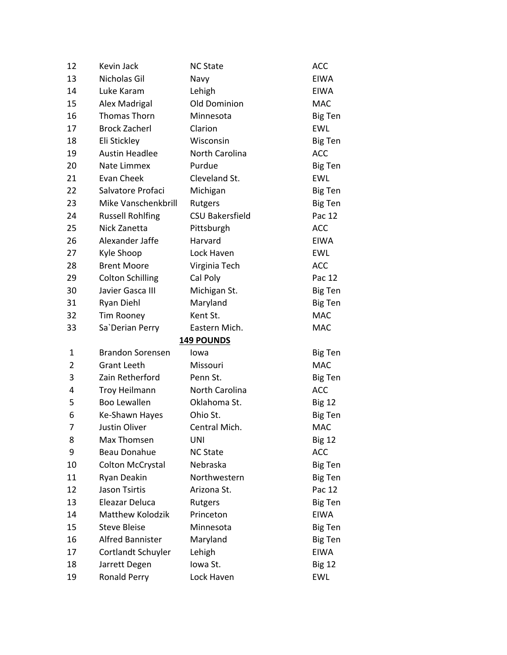| 12             | Kevin Jack              | <b>NC State</b>        | <b>ACC</b>     |
|----------------|-------------------------|------------------------|----------------|
| 13             | Nicholas Gil            | Navy                   | <b>EIWA</b>    |
| 14             | Luke Karam              | Lehigh                 | <b>EIWA</b>    |
| 15             | Alex Madrigal           | Old Dominion           | <b>MAC</b>     |
| 16             | Thomas Thorn            | Minnesota              | <b>Big Ten</b> |
| 17             | <b>Brock Zacherl</b>    | Clarion                | <b>EWL</b>     |
| 18             | Eli Stickley            | Wisconsin              | <b>Big Ten</b> |
| 19             | <b>Austin Headlee</b>   | North Carolina         | <b>ACC</b>     |
| 20             | Nate Limmex             | Purdue                 | <b>Big Ten</b> |
| 21             | <b>Evan Cheek</b>       | Cleveland St.          | <b>EWL</b>     |
| 22             | Salvatore Profaci       | Michigan               | <b>Big Ten</b> |
| 23             | Mike Vanschenkbrill     | Rutgers                | <b>Big Ten</b> |
| 24             | <b>Russell Rohlfing</b> | <b>CSU Bakersfield</b> | Pac 12         |
| 25             | Nick Zanetta            | Pittsburgh             | <b>ACC</b>     |
| 26             | Alexander Jaffe         | Harvard                | <b>EIWA</b>    |
| 27             | Kyle Shoop              | Lock Haven             | <b>EWL</b>     |
| 28             | <b>Brent Moore</b>      | Virginia Tech          | <b>ACC</b>     |
| 29             | <b>Colton Schilling</b> | Cal Poly               | Pac 12         |
| 30             | Javier Gasca III        | Michigan St.           | <b>Big Ten</b> |
| 31             | Ryan Diehl              | Maryland               | <b>Big Ten</b> |
| 32             | <b>Tim Rooney</b>       | Kent St.               | <b>MAC</b>     |
| 33             | Sa'Derian Perry         | Eastern Mich.          | <b>MAC</b>     |
|                |                         | <b>149 POUNDS</b>      |                |
| 1              | <b>Brandon Sorensen</b> | lowa                   | <b>Big Ten</b> |
| $\overline{2}$ | <b>Grant Leeth</b>      | Missouri               | <b>MAC</b>     |
| 3              | Zain Retherford         | Penn St.               | <b>Big Ten</b> |
| 4              | <b>Troy Heilmann</b>    | North Carolina         | <b>ACC</b>     |
| 5              | <b>Boo Lewallen</b>     | Oklahoma St.           | <b>Big 12</b>  |
| 6              | Ke-Shawn Hayes          | Ohio St.               | <b>Big Ten</b> |
| 7              | Justin Oliver           | Central Mich.          | <b>MAC</b>     |
| 8              | Max Thomsen             | UNI                    | <b>Big 12</b>  |
| 9              | <b>Beau Donahue</b>     | <b>NC State</b>        | <b>ACC</b>     |
| 10             | <b>Colton McCrystal</b> | Nebraska               | <b>Big Ten</b> |
| 11             | Ryan Deakin             | Northwestern           | <b>Big Ten</b> |
| 12             |                         |                        |                |
| 13             | <b>Jason Tsirtis</b>    | Arizona St.            | Pac 12         |
|                | Eleazar Deluca          | Rutgers                | <b>Big Ten</b> |
| 14             | <b>Matthew Kolodzik</b> | Princeton              | <b>EIWA</b>    |
| 15             | <b>Steve Bleise</b>     | Minnesota              | <b>Big Ten</b> |
| 16             | <b>Alfred Bannister</b> | Maryland               | <b>Big Ten</b> |
| 17             | Cortlandt Schuyler      | Lehigh                 | <b>EIWA</b>    |
| 18             | Jarrett Degen           | Iowa St.               | <b>Big 12</b>  |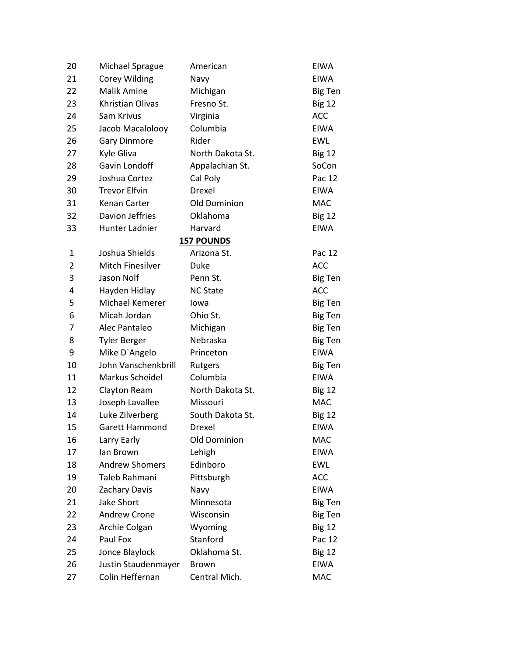| 20             | <b>Michael Sprague</b>  | American          | <b>EIWA</b>    |
|----------------|-------------------------|-------------------|----------------|
| 21             | <b>Corey Wilding</b>    | Navy              | <b>EIWA</b>    |
| 22             | <b>Malik Amine</b>      | Michigan          | Big Ten        |
| 23             | Khristian Olivas        | Fresno St.        | <b>Big 12</b>  |
| 24             | Sam Krivus              | Virginia          | <b>ACC</b>     |
| 25             | Jacob Macalolooy        | Columbia          | <b>EIWA</b>    |
| 26             | <b>Gary Dinmore</b>     | Rider             | <b>EWL</b>     |
| 27             | Kyle Gliva              | North Dakota St.  | <b>Big 12</b>  |
| 28             | Gavin Londoff           | Appalachian St.   | SoCon          |
| 29             | Joshua Cortez           | Cal Poly          | Pac 12         |
| 30             | <b>Trevor Elfvin</b>    | Drexel            | <b>EIWA</b>    |
| 31             | Kenan Carter            | Old Dominion      | <b>MAC</b>     |
| 32             | Davion Jeffries         | Oklahoma          | <b>Big 12</b>  |
| 33             | Hunter Ladnier          | Harvard           | <b>EIWA</b>    |
|                |                         | <b>157 POUNDS</b> |                |
| 1              | Joshua Shields          | Arizona St.       | Pac 12         |
| $\overline{2}$ | <b>Mitch Finesilver</b> | Duke              | <b>ACC</b>     |
| 3              | Jason Nolf              | Penn St.          | Big Ten        |
| 4              | Hayden Hidlay           | <b>NC State</b>   | <b>ACC</b>     |
| 5              | Michael Kemerer         | lowa              | Big Ten        |
| 6              | Micah Jordan            | Ohio St.          | <b>Big Ten</b> |
| 7              | Alec Pantaleo           | Michigan          | <b>Big Ten</b> |
| 8              | <b>Tyler Berger</b>     | Nebraska          | <b>Big Ten</b> |
| 9              | Mike D'Angelo           | Princeton         | <b>EIWA</b>    |
| 10             | John Vanschenkbrill     | Rutgers           | <b>Big Ten</b> |
| 11             | Markus Scheidel         | Columbia          | <b>EIWA</b>    |
| 12             | Clayton Ream            | North Dakota St.  | <b>Big 12</b>  |
| 13             | Joseph Lavallee         | Missouri          | <b>MAC</b>     |
| 14             | Luke Zilverberg         | South Dakota St.  | <b>Big 12</b>  |
| 15             | <b>Garett Hammond</b>   | Drexel            | <b>EIWA</b>    |
| 16             | Larry Early             | Old Dominion      | <b>MAC</b>     |
| 17             | lan Brown               | Lehigh            | <b>EIWA</b>    |
| 18             | <b>Andrew Shomers</b>   | Edinboro          | <b>EWL</b>     |
| 19             | Taleb Rahmani           | Pittsburgh        | <b>ACC</b>     |
| 20             | <b>Zachary Davis</b>    | Navy              | <b>EIWA</b>    |
| 21             | Jake Short              | Minnesota         | <b>Big Ten</b> |
| 22             | <b>Andrew Crone</b>     | Wisconsin         | Big Ten        |
| 23             | Archie Colgan           | Wyoming           | <b>Big 12</b>  |
| 24             | Paul Fox                | Stanford          | Pac 12         |
| 25             | Jonce Blaylock          | Oklahoma St.      | <b>Big 12</b>  |
| 26             | Justin Staudenmayer     | <b>Brown</b>      | <b>EIWA</b>    |
| 27             | Colin Heffernan         | Central Mich.     | <b>MAC</b>     |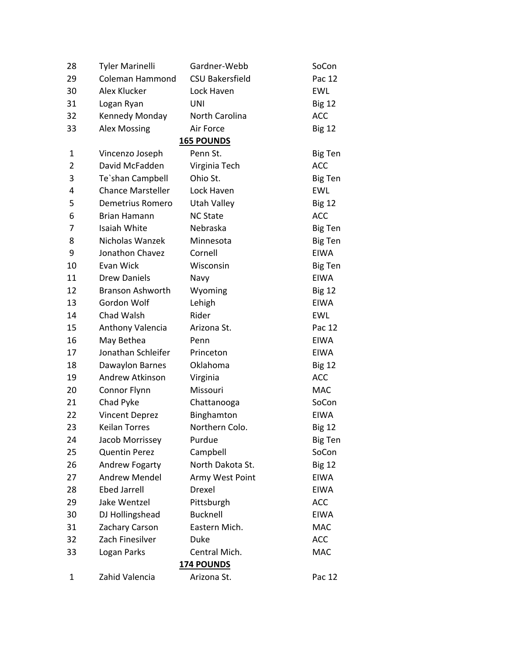| 28             | <b>Tyler Marinelli</b>   | Gardner-Webb           | SoCon          |  |
|----------------|--------------------------|------------------------|----------------|--|
| 29             | Coleman Hammond          | <b>CSU Bakersfield</b> | Pac 12         |  |
| 30             | Alex Klucker             | Lock Haven             | <b>EWL</b>     |  |
| 31             | Logan Ryan               | UNI                    | <b>Big 12</b>  |  |
| 32             | Kennedy Monday           | North Carolina         | <b>ACC</b>     |  |
| 33             | <b>Alex Mossing</b>      | Air Force              | <b>Big 12</b>  |  |
|                |                          | <b>165 POUNDS</b>      |                |  |
| 1              | Vincenzo Joseph          | Penn St.               | Big Ten        |  |
| $\overline{2}$ | David McFadden           | Virginia Tech          | <b>ACC</b>     |  |
| 3              | Te'shan Campbell         | Ohio St.               | <b>Big Ten</b> |  |
| 4              | <b>Chance Marsteller</b> | Lock Haven             | <b>EWL</b>     |  |
| 5              | Demetrius Romero         | <b>Utah Valley</b>     | <b>Big 12</b>  |  |
| 6              | Brian Hamann             | <b>NC State</b>        | <b>ACC</b>     |  |
| 7              | <b>Isaiah White</b>      | Nebraska               | <b>Big Ten</b> |  |
| 8              | Nicholas Wanzek          | Minnesota              | <b>Big Ten</b> |  |
| 9              | Jonathon Chavez          | Cornell                | <b>EIWA</b>    |  |
| 10             | Evan Wick                | Wisconsin              | Big Ten        |  |
| 11             | <b>Drew Daniels</b>      | Navy                   | <b>EIWA</b>    |  |
| 12             | <b>Branson Ashworth</b>  | Wyoming                | <b>Big 12</b>  |  |
| 13             | Gordon Wolf              | Lehigh                 | <b>EIWA</b>    |  |
| 14             | Chad Walsh               | Rider                  | <b>EWL</b>     |  |
| 15             | Anthony Valencia         | Arizona St.            | Pac 12         |  |
| 16             | May Bethea               | Penn                   | <b>EIWA</b>    |  |
| 17             | Jonathan Schleifer       | Princeton              | <b>EIWA</b>    |  |
| 18             | Dawaylon Barnes          | Oklahoma               | <b>Big 12</b>  |  |
| 19             | Andrew Atkinson          | Virginia               | <b>ACC</b>     |  |
| 20             | Connor Flynn             | Missouri               | <b>MAC</b>     |  |
| 21             | Chad Pyke                | Chattanooga            | SoCon          |  |
| 22             | <b>Vincent Deprez</b>    | Binghamton             | <b>EIWA</b>    |  |
| 23             | <b>Keilan Torres</b>     | Northern Colo.         | <b>Big 12</b>  |  |
| 24             | Jacob Morrissey          | Purdue                 | <b>Big Ten</b> |  |
| 25             | <b>Quentin Perez</b>     | Campbell               | SoCon          |  |
| 26             | Andrew Fogarty           | North Dakota St.       | <b>Big 12</b>  |  |
| 27             | <b>Andrew Mendel</b>     | Army West Point        | <b>EIWA</b>    |  |
| 28             | <b>Ebed Jarrell</b>      | Drexel                 | <b>EIWA</b>    |  |
| 29             | Jake Wentzel             | Pittsburgh             | <b>ACC</b>     |  |
| 30             | DJ Hollingshead          | <b>Bucknell</b>        | <b>EIWA</b>    |  |
| 31             | Zachary Carson           | Eastern Mich.          | <b>MAC</b>     |  |
| 32             | Zach Finesilver          | Duke                   | <b>ACC</b>     |  |
| 33             | Logan Parks              | Central Mich.          | <b>MAC</b>     |  |
| 174 POUNDS     |                          |                        |                |  |
| $\mathbf{1}$   | Zahid Valencia           | Arizona St.            | Pac 12         |  |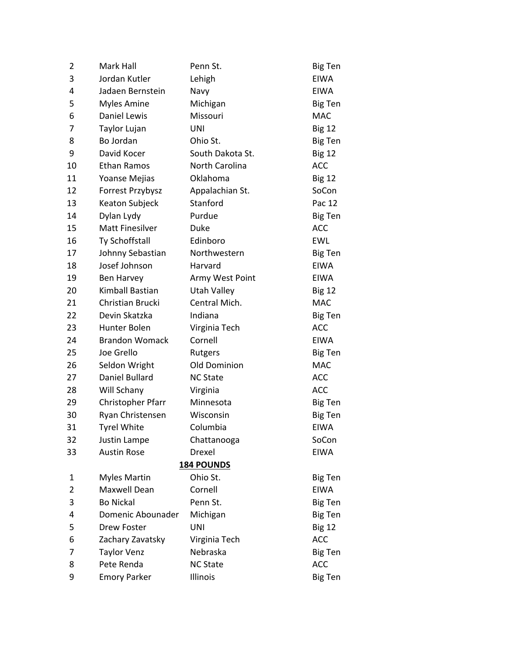| 2              | Mark Hall              | Penn St.           | <b>Big Ten</b> |
|----------------|------------------------|--------------------|----------------|
| 3              | Jordan Kutler          | Lehigh             | <b>EIWA</b>    |
| 4              | Jadaen Bernstein       | Navy               | <b>EIWA</b>    |
| 5              | <b>Myles Amine</b>     | Michigan           | <b>Big Ten</b> |
| 6              | Daniel Lewis           | Missouri           | <b>MAC</b>     |
| 7              | Taylor Lujan           | <b>UNI</b>         | <b>Big 12</b>  |
| 8              | Bo Jordan              | Ohio St.           | <b>Big Ten</b> |
| 9              | David Kocer            | South Dakota St.   | <b>Big 12</b>  |
| 10             | <b>Ethan Ramos</b>     | North Carolina     | <b>ACC</b>     |
| 11             | Yoanse Mejias          | Oklahoma           | <b>Big 12</b>  |
| 12             | Forrest Przybysz       | Appalachian St.    | SoCon          |
| 13             | Keaton Subjeck         | Stanford           | Pac 12         |
| 14             | Dylan Lydy             | Purdue             | <b>Big Ten</b> |
| 15             | <b>Matt Finesilver</b> | Duke               | <b>ACC</b>     |
| 16             | Ty Schoffstall         | Edinboro           | <b>EWL</b>     |
| 17             | Johnny Sebastian       | Northwestern       | <b>Big Ten</b> |
| 18             | Josef Johnson          | Harvard            | <b>EIWA</b>    |
| 19             | <b>Ben Harvey</b>      | Army West Point    | <b>EIWA</b>    |
| 20             | Kimball Bastian        | <b>Utah Valley</b> | <b>Big 12</b>  |
| 21             | Christian Brucki       | Central Mich.      | <b>MAC</b>     |
| 22             | Devin Skatzka          | Indiana            | <b>Big Ten</b> |
| 23             | Hunter Bolen           | Virginia Tech      | <b>ACC</b>     |
| 24             | <b>Brandon Womack</b>  | Cornell            | <b>EIWA</b>    |
| 25             | Joe Grello             | Rutgers            | <b>Big Ten</b> |
| 26             | Seldon Wright          | Old Dominion       | <b>MAC</b>     |
| 27             | Daniel Bullard         | <b>NC State</b>    | <b>ACC</b>     |
| 28             | Will Schany            | Virginia           | <b>ACC</b>     |
| 29             | Christopher Pfarr      | Minnesota          | <b>Big Ten</b> |
| 30             | Ryan Christensen       | Wisconsin          | <b>Big Ten</b> |
| 31             | <b>Tyrel White</b>     | Columbia           | <b>EIWA</b>    |
| 32             | Justin Lampe           | Chattanooga        | SoCon          |
| 33             | <b>Austin Rose</b>     | Drexel             | <b>EIWA</b>    |
|                |                        | <b>184 POUNDS</b>  |                |
| 1              | <b>Myles Martin</b>    | Ohio St.           | <b>Big Ten</b> |
| $\overline{2}$ | Maxwell Dean           | Cornell            | <b>EIWA</b>    |
| 3              | <b>Bo Nickal</b>       | Penn St.           | <b>Big Ten</b> |
| 4              | Domenic Abounader      | Michigan           | <b>Big Ten</b> |
| 5              | Drew Foster            | <b>UNI</b>         | <b>Big 12</b>  |
| 6              | Zachary Zavatsky       | Virginia Tech      | <b>ACC</b>     |
| 7              | <b>Taylor Venz</b>     | Nebraska           | <b>Big Ten</b> |
| 8              | Pete Renda             | <b>NC State</b>    | <b>ACC</b>     |
| 9              | <b>Emory Parker</b>    | Illinois           | <b>Big Ten</b> |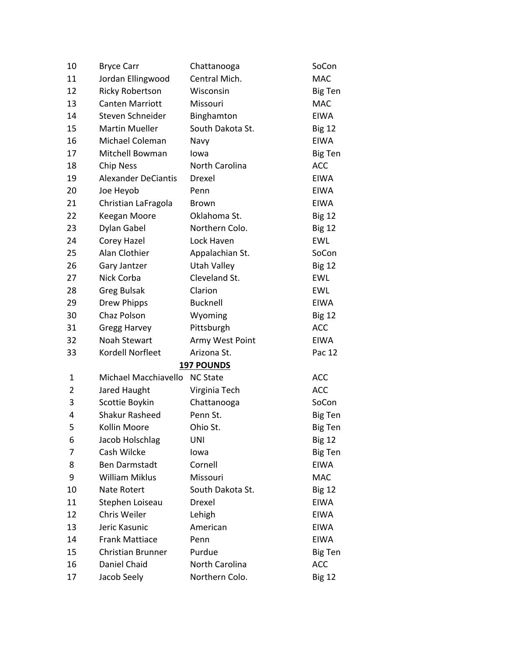| 10             | <b>Bryce Carr</b>          | Chattanooga       | SoCon          |
|----------------|----------------------------|-------------------|----------------|
| 11             | Jordan Ellingwood          | Central Mich.     | <b>MAC</b>     |
| 12             | <b>Ricky Robertson</b>     | Wisconsin         | <b>Big Ten</b> |
| 13             | <b>Canten Marriott</b>     | Missouri          | <b>MAC</b>     |
| 14             | Steven Schneider           | Binghamton        | <b>EIWA</b>    |
| 15             | <b>Martin Mueller</b>      | South Dakota St.  | <b>Big 12</b>  |
| 16             | Michael Coleman            | Navy              | <b>EIWA</b>    |
| 17             | Mitchell Bowman            | Iowa              | Big Ten        |
| 18             | <b>Chip Ness</b>           | North Carolina    | <b>ACC</b>     |
| 19             | <b>Alexander DeCiantis</b> | Drexel            | <b>EIWA</b>    |
| 20             | Joe Heyob                  | Penn              | <b>EIWA</b>    |
| 21             | Christian LaFragola        | Brown             | <b>EIWA</b>    |
| 22             | Keegan Moore               | Oklahoma St.      | <b>Big 12</b>  |
| 23             | Dylan Gabel                | Northern Colo.    | <b>Big 12</b>  |
| 24             | Corey Hazel                | Lock Haven        | <b>EWL</b>     |
| 25             | Alan Clothier              | Appalachian St.   | SoCon          |
| 26             | Gary Jantzer               | Utah Valley       | <b>Big 12</b>  |
| 27             | Nick Corba                 | Cleveland St.     | <b>EWL</b>     |
| 28             | <b>Greg Bulsak</b>         | Clarion           | <b>EWL</b>     |
| 29             | <b>Drew Phipps</b>         | <b>Bucknell</b>   | <b>EIWA</b>    |
| 30             | Chaz Polson                | Wyoming           | <b>Big 12</b>  |
| 31             | <b>Gregg Harvey</b>        | Pittsburgh        | <b>ACC</b>     |
| 32             | <b>Noah Stewart</b>        | Army West Point   | <b>EIWA</b>    |
| 33             | Kordell Norfleet           | Arizona St.       | Pac 12         |
|                |                            | <b>197 POUNDS</b> |                |
| 1              | Michael Macchiavello       | <b>NC State</b>   | <b>ACC</b>     |
| $\overline{2}$ | Jared Haught               | Virginia Tech     | <b>ACC</b>     |
| 3              | Scottie Boykin             | Chattanooga       | SoCon          |
| 4              | <b>Shakur Rasheed</b>      | Penn St.          | <b>Big Ten</b> |
| 5              | Kollin Moore               | Ohio St.          | <b>Big Ten</b> |
| 6              | Jacob Holschlag            | <b>UNI</b>        | <b>Big 12</b>  |
| 7              | Cash Wilcke                | lowa              | <b>Big Ten</b> |
| 8              | <b>Ben Darmstadt</b>       | Cornell           | <b>EIWA</b>    |
| 9              | <b>William Miklus</b>      | Missouri          | MAC            |
| 10             | Nate Rotert                | South Dakota St.  | <b>Big 12</b>  |
| 11             | Stephen Loiseau            | Drexel            | <b>EIWA</b>    |
| 12             | Chris Weiler               | Lehigh            | <b>EIWA</b>    |
| 13             | Jeric Kasunic              | American          | <b>EIWA</b>    |
| 14             | <b>Frank Mattiace</b>      | Penn              | <b>EIWA</b>    |
| 15             | <b>Christian Brunner</b>   | Purdue            | <b>Big Ten</b> |
| 16             | Daniel Chaid               | North Carolina    | <b>ACC</b>     |
| 17             | Jacob Seely                | Northern Colo.    | <b>Big 12</b>  |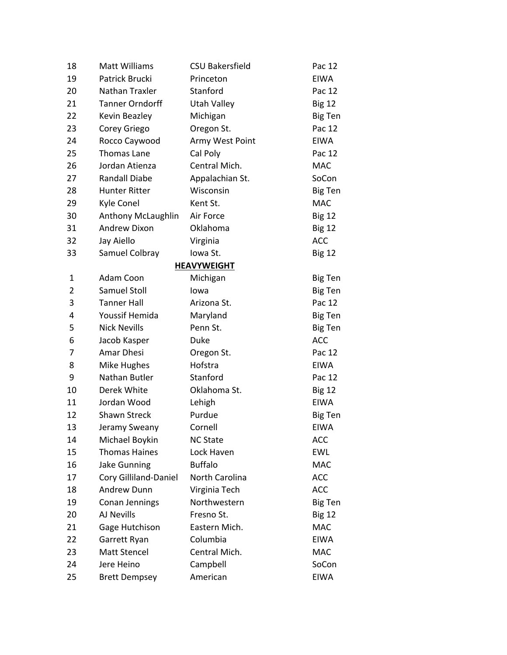| 18             | <b>Matt Williams</b>   | <b>CSU Bakersfield</b> | Pac 12         |
|----------------|------------------------|------------------------|----------------|
| 19             | Patrick Brucki         | Princeton              | <b>EIWA</b>    |
| 20             | Nathan Traxler         | Stanford               | Pac 12         |
| 21             | <b>Tanner Orndorff</b> | <b>Utah Valley</b>     | <b>Big 12</b>  |
| 22             | Kevin Beazley          | Michigan               | Big Ten        |
| 23             | Corey Griego           | Oregon St.             | Pac 12         |
| 24             | Rocco Caywood          | Army West Point        | <b>EIWA</b>    |
| 25             | <b>Thomas Lane</b>     | Cal Poly               | Pac 12         |
| 26             | Jordan Atienza         | Central Mich.          | <b>MAC</b>     |
| 27             | <b>Randall Diabe</b>   | Appalachian St.        | SoCon          |
| 28             | <b>Hunter Ritter</b>   | Wisconsin              | <b>Big Ten</b> |
| 29             | Kyle Conel             | Kent St.               | <b>MAC</b>     |
| 30             | Anthony McLaughlin     | Air Force              | <b>Big 12</b>  |
| 31             | <b>Andrew Dixon</b>    | Oklahoma               | <b>Big 12</b>  |
| 32             | Jay Aiello             | Virginia               | <b>ACC</b>     |
| 33             | Samuel Colbray         | Iowa St.               | <b>Big 12</b>  |
|                |                        | <b>HEAVYWEIGHT</b>     |                |
| $\mathbf{1}$   | Adam Coon              | Michigan               | <b>Big Ten</b> |
| $\overline{2}$ | <b>Samuel Stoll</b>    | lowa                   | Big Ten        |
| 3              | <b>Tanner Hall</b>     | Arizona St.            | Pac 12         |
| 4              | Youssif Hemida         | Maryland               | Big Ten        |
| 5              | <b>Nick Nevills</b>    | Penn St.               | Big Ten        |
| 6              | Jacob Kasper           | Duke                   | <b>ACC</b>     |
| 7              | Amar Dhesi             | Oregon St.             | Pac 12         |
| 8              | Mike Hughes            | Hofstra                | <b>EIWA</b>    |
| 9              | Nathan Butler          | Stanford               | Pac 12         |
| 10             | Derek White            | Oklahoma St.           | <b>Big 12</b>  |
| 11             | Jordan Wood            | Lehigh                 | <b>EIWA</b>    |
| 12             | <b>Shawn Streck</b>    | Purdue                 | <b>Big Ten</b> |
| 13             | Jeramy Sweany          | Cornell                | <b>EIWA</b>    |
| 14             | Michael Boykin         | <b>NC State</b>        | <b>ACC</b>     |
| 15             | <b>Thomas Haines</b>   | Lock Haven             | <b>EWL</b>     |
| 16             | <b>Jake Gunning</b>    | <b>Buffalo</b>         | <b>MAC</b>     |
| 17             | Cory Gilliland-Daniel  | <b>North Carolina</b>  | <b>ACC</b>     |
| 18             | <b>Andrew Dunn</b>     | Virginia Tech          | <b>ACC</b>     |
| 19             | Conan Jennings         | Northwestern           | <b>Big Ten</b> |
| 20             | AJ Nevills             | Fresno St.             | <b>Big 12</b>  |
| 21             | Gage Hutchison         | Eastern Mich.          | <b>MAC</b>     |
| 22             | Garrett Ryan           | Columbia               | <b>EIWA</b>    |
| 23             | Matt Stencel           | Central Mich.          | <b>MAC</b>     |
| 24             | Jere Heino             | Campbell               | SoCon          |
| 25             | <b>Brett Dempsey</b>   | American               | <b>EIWA</b>    |